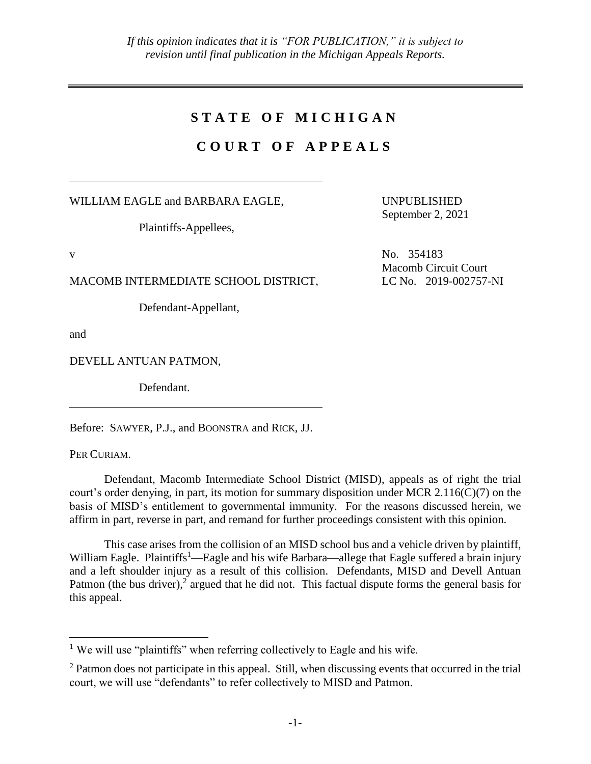## **S T A T E O F M I C H I G A N**

## **C O U R T O F A P P E A L S**

WILLIAM EAGLE and BARBARA EAGLE,

Plaintiffs-Appellees,

MACOMB INTERMEDIATE SCHOOL DISTRICT, LC No. 2019-002757-NI

Defendant-Appellant,

and

DEVELL ANTUAN PATMON,

Defendant.

Before: SAWYER, P.J., and BOONSTRA and RICK, JJ.

PER CURIAM.

 $\overline{a}$ 

Defendant, Macomb Intermediate School District (MISD), appeals as of right the trial court's order denying, in part, its motion for summary disposition under MCR  $2.116(C)(7)$  on the basis of MISD's entitlement to governmental immunity. For the reasons discussed herein, we affirm in part, reverse in part, and remand for further proceedings consistent with this opinion.

This case arises from the collision of an MISD school bus and a vehicle driven by plaintiff, William Eagle. Plaintiffs<sup>1</sup>—Eagle and his wife Barbara—allege that Eagle suffered a brain injury and a left shoulder injury as a result of this collision. Defendants, MISD and Devell Antuan Patmon (the bus driver),<sup>2</sup> argued that he did not. This factual dispute forms the general basis for this appeal.

UNPUBLISHED September 2, 2021

v No. 354183 Macomb Circuit Court

<sup>&</sup>lt;sup>1</sup> We will use "plaintiffs" when referring collectively to Eagle and his wife.

<sup>&</sup>lt;sup>2</sup> Patmon does not participate in this appeal. Still, when discussing events that occurred in the trial court, we will use "defendants" to refer collectively to MISD and Patmon.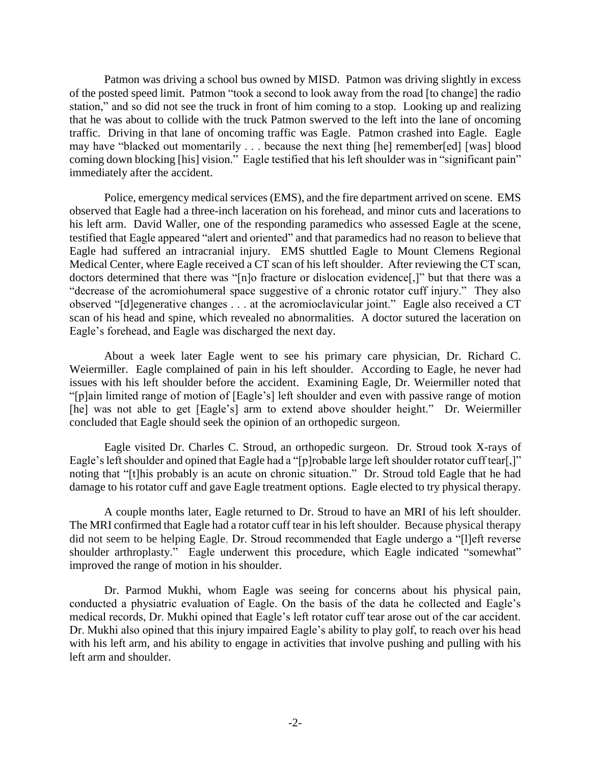Patmon was driving a school bus owned by MISD. Patmon was driving slightly in excess of the posted speed limit. Patmon "took a second to look away from the road [to change] the radio station," and so did not see the truck in front of him coming to a stop. Looking up and realizing that he was about to collide with the truck Patmon swerved to the left into the lane of oncoming traffic. Driving in that lane of oncoming traffic was Eagle. Patmon crashed into Eagle. Eagle may have "blacked out momentarily . . . because the next thing [he] remember[ed] [was] blood coming down blocking [his] vision." Eagle testified that his left shoulder was in "significant pain" immediately after the accident.

Police, emergency medical services (EMS), and the fire department arrived on scene. EMS observed that Eagle had a three-inch laceration on his forehead, and minor cuts and lacerations to his left arm. David Waller, one of the responding paramedics who assessed Eagle at the scene, testified that Eagle appeared "alert and oriented" and that paramedics had no reason to believe that Eagle had suffered an intracranial injury. EMS shuttled Eagle to Mount Clemens Regional Medical Center, where Eagle received a CT scan of his left shoulder. After reviewing the CT scan, doctors determined that there was "[n]o fracture or dislocation evidence[,]" but that there was a "decrease of the acromiohumeral space suggestive of a chronic rotator cuff injury." They also observed "[d]egenerative changes . . . at the acromioclavicular joint." Eagle also received a CT scan of his head and spine, which revealed no abnormalities. A doctor sutured the laceration on Eagle's forehead, and Eagle was discharged the next day.

About a week later Eagle went to see his primary care physician, Dr. Richard C. Weiermiller. Eagle complained of pain in his left shoulder. According to Eagle, he never had issues with his left shoulder before the accident. Examining Eagle, Dr. Weiermiller noted that "[p]ain limited range of motion of [Eagle's] left shoulder and even with passive range of motion [he] was not able to get [Eagle's] arm to extend above shoulder height." Dr. Weiermiller concluded that Eagle should seek the opinion of an orthopedic surgeon.

Eagle visited Dr. Charles C. Stroud, an orthopedic surgeon. Dr. Stroud took X-rays of Eagle's left shoulder and opined that Eagle had a "[p]robable large left shoulder rotator cuff tear[,]" noting that "[t]his probably is an acute on chronic situation." Dr. Stroud told Eagle that he had damage to his rotator cuff and gave Eagle treatment options. Eagle elected to try physical therapy.

A couple months later, Eagle returned to Dr. Stroud to have an MRI of his left shoulder. The MRI confirmed that Eagle had a rotator cuff tear in his left shoulder. Because physical therapy did not seem to be helping Eagle, Dr. Stroud recommended that Eagle undergo a "[l]eft reverse shoulder arthroplasty." Eagle underwent this procedure, which Eagle indicated "somewhat" improved the range of motion in his shoulder.

Dr. Parmod Mukhi, whom Eagle was seeing for concerns about his physical pain, conducted a physiatric evaluation of Eagle. On the basis of the data he collected and Eagle's medical records, Dr. Mukhi opined that Eagle's left rotator cuff tear arose out of the car accident. Dr. Mukhi also opined that this injury impaired Eagle's ability to play golf, to reach over his head with his left arm, and his ability to engage in activities that involve pushing and pulling with his left arm and shoulder.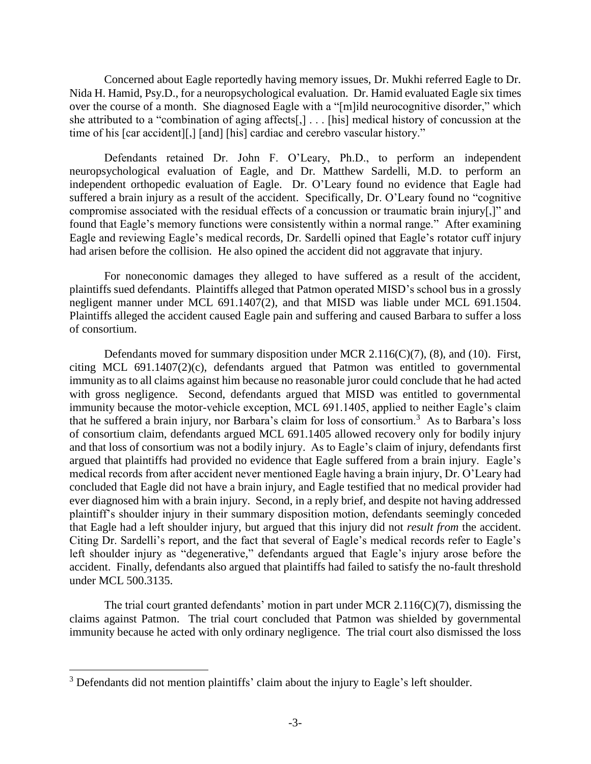Concerned about Eagle reportedly having memory issues, Dr. Mukhi referred Eagle to Dr. Nida H. Hamid, Psy.D., for a neuropsychological evaluation. Dr. Hamid evaluated Eagle six times over the course of a month. She diagnosed Eagle with a "[m]ild neurocognitive disorder," which she attributed to a "combination of aging affects[,] . . . [his] medical history of concussion at the time of his [car accident][,] [and] [his] cardiac and cerebro vascular history."

Defendants retained Dr. John F. O'Leary, Ph.D., to perform an independent neuropsychological evaluation of Eagle, and Dr. Matthew Sardelli, M.D. to perform an independent orthopedic evaluation of Eagle. Dr. O'Leary found no evidence that Eagle had suffered a brain injury as a result of the accident. Specifically, Dr. O'Leary found no "cognitive compromise associated with the residual effects of a concussion or traumatic brain injury[,]" and found that Eagle's memory functions were consistently within a normal range." After examining Eagle and reviewing Eagle's medical records, Dr. Sardelli opined that Eagle's rotator cuff injury had arisen before the collision. He also opined the accident did not aggravate that injury.

For noneconomic damages they alleged to have suffered as a result of the accident, plaintiffs sued defendants. Plaintiffs alleged that Patmon operated MISD's school bus in a grossly negligent manner under MCL 691.1407(2), and that MISD was liable under MCL 691.1504. Plaintiffs alleged the accident caused Eagle pain and suffering and caused Barbara to suffer a loss of consortium.

Defendants moved for summary disposition under MCR 2.116(C)(7), (8), and (10). First, citing MCL 691.1407(2)(c), defendants argued that Patmon was entitled to governmental immunity as to all claims against him because no reasonable juror could conclude that he had acted with gross negligence. Second, defendants argued that MISD was entitled to governmental immunity because the motor-vehicle exception, MCL 691.1405, applied to neither Eagle's claim that he suffered a brain injury, nor Barbara's claim for loss of consortium.<sup>3</sup> As to Barbara's loss of consortium claim, defendants argued MCL 691.1405 allowed recovery only for bodily injury and that loss of consortium was not a bodily injury. As to Eagle's claim of injury, defendants first argued that plaintiffs had provided no evidence that Eagle suffered from a brain injury. Eagle's medical records from after accident never mentioned Eagle having a brain injury, Dr. O'Leary had concluded that Eagle did not have a brain injury, and Eagle testified that no medical provider had ever diagnosed him with a brain injury. Second, in a reply brief, and despite not having addressed plaintiff's shoulder injury in their summary disposition motion, defendants seemingly conceded that Eagle had a left shoulder injury, but argued that this injury did not *result from* the accident. Citing Dr. Sardelli's report, and the fact that several of Eagle's medical records refer to Eagle's left shoulder injury as "degenerative," defendants argued that Eagle's injury arose before the accident. Finally, defendants also argued that plaintiffs had failed to satisfy the no-fault threshold under MCL 500.3135.

The trial court granted defendants' motion in part under MCR 2.116(C)(7), dismissing the claims against Patmon. The trial court concluded that Patmon was shielded by governmental immunity because he acted with only ordinary negligence. The trial court also dismissed the loss

 $\overline{a}$ 

<sup>&</sup>lt;sup>3</sup> Defendants did not mention plaintiffs' claim about the injury to Eagle's left shoulder.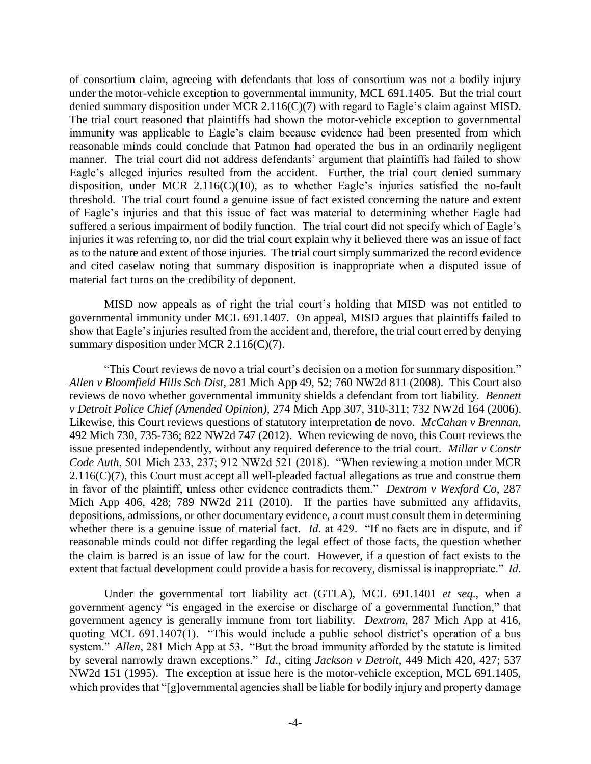of consortium claim, agreeing with defendants that loss of consortium was not a bodily injury under the motor-vehicle exception to governmental immunity, MCL 691.1405. But the trial court denied summary disposition under MCR 2.116(C)(7) with regard to Eagle's claim against MISD. The trial court reasoned that plaintiffs had shown the motor-vehicle exception to governmental immunity was applicable to Eagle's claim because evidence had been presented from which reasonable minds could conclude that Patmon had operated the bus in an ordinarily negligent manner. The trial court did not address defendants' argument that plaintiffs had failed to show Eagle's alleged injuries resulted from the accident. Further, the trial court denied summary disposition, under MCR 2.116(C)(10), as to whether Eagle's injuries satisfied the no-fault threshold. The trial court found a genuine issue of fact existed concerning the nature and extent of Eagle's injuries and that this issue of fact was material to determining whether Eagle had suffered a serious impairment of bodily function. The trial court did not specify which of Eagle's injuries it was referring to, nor did the trial court explain why it believed there was an issue of fact as to the nature and extent of those injuries. The trial court simply summarized the record evidence and cited caselaw noting that summary disposition is inappropriate when a disputed issue of material fact turns on the credibility of deponent.

MISD now appeals as of right the trial court's holding that MISD was not entitled to governmental immunity under MCL 691.1407. On appeal, MISD argues that plaintiffs failed to show that Eagle's injuries resulted from the accident and, therefore, the trial court erred by denying summary disposition under MCR 2.116(C)(7).

"This Court reviews de novo a trial court's decision on a motion for summary disposition." *Allen v Bloomfield Hills Sch Dist*, 281 Mich App 49, 52; 760 NW2d 811 (2008). This Court also reviews de novo whether governmental immunity shields a defendant from tort liability. *Bennett v Detroit Police Chief (Amended Opinion)*, 274 Mich App 307, 310-311; 732 NW2d 164 (2006). Likewise, this Court reviews questions of statutory interpretation de novo. *McCahan v Brennan*, 492 Mich 730, 735-736; 822 NW2d 747 (2012). When reviewing de novo, this Court reviews the issue presented independently, without any required deference to the trial court. *Millar v Constr Code Auth*, 501 Mich 233, 237; 912 NW2d 521 (2018). "When reviewing a motion under MCR  $2.116(C)(7)$ , this Court must accept all well-pleaded factual allegations as true and construe them in favor of the plaintiff, unless other evidence contradicts them." *Dextrom v Wexford Co*, 287 Mich App 406, 428; 789 NW2d 211 (2010). If the parties have submitted any affidavits, depositions, admissions, or other documentary evidence, a court must consult them in determining whether there is a genuine issue of material fact. *Id*. at 429. "If no facts are in dispute, and if reasonable minds could not differ regarding the legal effect of those facts, the question whether the claim is barred is an issue of law for the court. However, if a question of fact exists to the extent that factual development could provide a basis for recovery, dismissal is inappropriate." *Id*.

Under the governmental tort liability act (GTLA), MCL 691.1401 *et seq*., when a government agency "is engaged in the exercise or discharge of a governmental function," that government agency is generally immune from tort liability. *Dextrom*, 287 Mich App at 416, quoting MCL 691.1407(1). "This would include a public school district's operation of a bus system." *Allen*, 281 Mich App at 53. "But the broad immunity afforded by the statute is limited by several narrowly drawn exceptions." *Id*., citing *Jackson v Detroit*, 449 Mich 420, 427; 537 NW2d 151 (1995). The exception at issue here is the motor-vehicle exception, MCL 691.1405, which provides that "[g]overnmental agencies shall be liable for bodily injury and property damage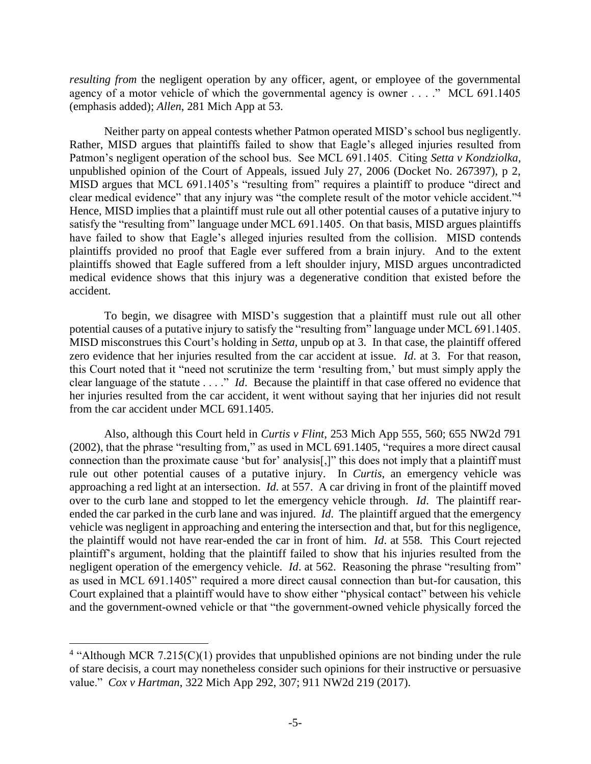*resulting from* the negligent operation by any officer, agent, or employee of the governmental agency of a motor vehicle of which the governmental agency is owner . . . ." MCL 691.1405 (emphasis added); *Allen*, 281 Mich App at 53.

Neither party on appeal contests whether Patmon operated MISD's school bus negligently. Rather, MISD argues that plaintiffs failed to show that Eagle's alleged injuries resulted from Patmon's negligent operation of the school bus. See MCL 691.1405. Citing *Setta v Kondziolka*, unpublished opinion of the Court of Appeals, issued July 27, 2006 (Docket No. 267397), p 2, MISD argues that MCL 691.1405's "resulting from" requires a plaintiff to produce "direct and clear medical evidence" that any injury was "the complete result of the motor vehicle accident."<sup>4</sup> Hence, MISD implies that a plaintiff must rule out all other potential causes of a putative injury to satisfy the "resulting from" language under MCL 691.1405. On that basis, MISD argues plaintiffs have failed to show that Eagle's alleged injuries resulted from the collision. MISD contends plaintiffs provided no proof that Eagle ever suffered from a brain injury. And to the extent plaintiffs showed that Eagle suffered from a left shoulder injury, MISD argues uncontradicted medical evidence shows that this injury was a degenerative condition that existed before the accident.

To begin, we disagree with MISD's suggestion that a plaintiff must rule out all other potential causes of a putative injury to satisfy the "resulting from" language under MCL 691.1405. MISD misconstrues this Court's holding in *Setta*, unpub op at 3. In that case, the plaintiff offered zero evidence that her injuries resulted from the car accident at issue. *Id*. at 3. For that reason, this Court noted that it "need not scrutinize the term 'resulting from,' but must simply apply the clear language of the statute . . . ." *Id*. Because the plaintiff in that case offered no evidence that her injuries resulted from the car accident, it went without saying that her injuries did not result from the car accident under MCL 691.1405.

Also, although this Court held in *Curtis v Flint*, 253 Mich App 555, 560; 655 NW2d 791 (2002), that the phrase "resulting from," as used in MCL 691.1405, "requires a more direct causal connection than the proximate cause 'but for' analysis[,]" this does not imply that a plaintiff must rule out other potential causes of a putative injury. In *Curtis*, an emergency vehicle was approaching a red light at an intersection. *Id*. at 557. A car driving in front of the plaintiff moved over to the curb lane and stopped to let the emergency vehicle through. *Id*. The plaintiff rearended the car parked in the curb lane and was injured. *Id*. The plaintiff argued that the emergency vehicle was negligent in approaching and entering the intersection and that, but for this negligence, the plaintiff would not have rear-ended the car in front of him. *Id*. at 558. This Court rejected plaintiff's argument, holding that the plaintiff failed to show that his injuries resulted from the negligent operation of the emergency vehicle. *Id*. at 562. Reasoning the phrase "resulting from" as used in MCL 691.1405" required a more direct causal connection than but-for causation, this Court explained that a plaintiff would have to show either "physical contact" between his vehicle and the government-owned vehicle or that "the government-owned vehicle physically forced the

 $\overline{a}$ 

<sup>&</sup>lt;sup>4</sup> "Although MCR 7.215(C)(1) provides that unpublished opinions are not binding under the rule of stare decisis, a court may nonetheless consider such opinions for their instructive or persuasive value." *Cox v Hartman*, 322 Mich App 292, 307; 911 NW2d 219 (2017).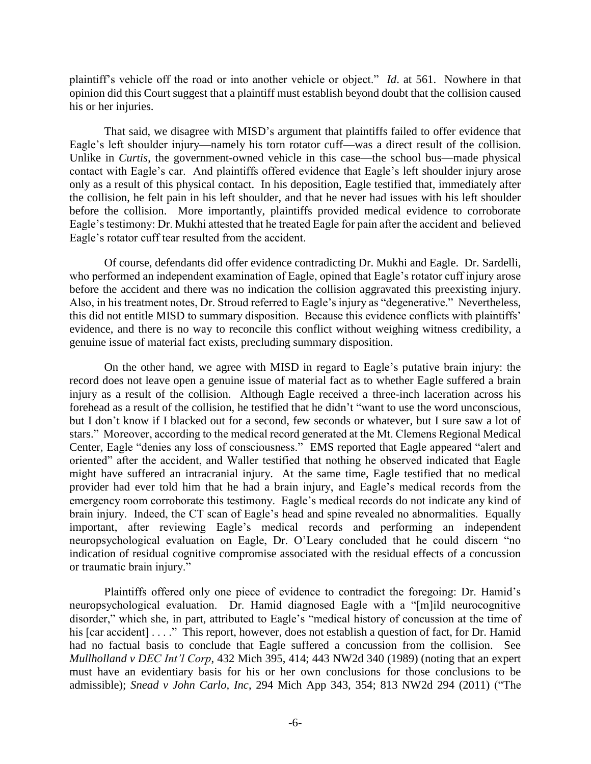plaintiff's vehicle off the road or into another vehicle or object." *Id*. at 561. Nowhere in that opinion did this Court suggest that a plaintiff must establish beyond doubt that the collision caused his or her injuries.

That said, we disagree with MISD's argument that plaintiffs failed to offer evidence that Eagle's left shoulder injury—namely his torn rotator cuff—was a direct result of the collision. Unlike in *Curtis*, the government-owned vehicle in this case—the school bus—made physical contact with Eagle's car. And plaintiffs offered evidence that Eagle's left shoulder injury arose only as a result of this physical contact. In his deposition, Eagle testified that, immediately after the collision, he felt pain in his left shoulder, and that he never had issues with his left shoulder before the collision. More importantly, plaintiffs provided medical evidence to corroborate Eagle's testimony: Dr. Mukhi attested that he treated Eagle for pain after the accident and believed Eagle's rotator cuff tear resulted from the accident.

Of course, defendants did offer evidence contradicting Dr. Mukhi and Eagle. Dr. Sardelli, who performed an independent examination of Eagle, opined that Eagle's rotator cuff injury arose before the accident and there was no indication the collision aggravated this preexisting injury. Also, in his treatment notes, Dr. Stroud referred to Eagle's injury as "degenerative." Nevertheless, this did not entitle MISD to summary disposition. Because this evidence conflicts with plaintiffs' evidence, and there is no way to reconcile this conflict without weighing witness credibility, a genuine issue of material fact exists, precluding summary disposition.

On the other hand, we agree with MISD in regard to Eagle's putative brain injury: the record does not leave open a genuine issue of material fact as to whether Eagle suffered a brain injury as a result of the collision. Although Eagle received a three-inch laceration across his forehead as a result of the collision, he testified that he didn't "want to use the word unconscious, but I don't know if I blacked out for a second, few seconds or whatever, but I sure saw a lot of stars." Moreover, according to the medical record generated at the Mt. Clemens Regional Medical Center, Eagle "denies any loss of consciousness." EMS reported that Eagle appeared "alert and oriented" after the accident, and Waller testified that nothing he observed indicated that Eagle might have suffered an intracranial injury. At the same time, Eagle testified that no medical provider had ever told him that he had a brain injury, and Eagle's medical records from the emergency room corroborate this testimony. Eagle's medical records do not indicate any kind of brain injury. Indeed, the CT scan of Eagle's head and spine revealed no abnormalities. Equally important, after reviewing Eagle's medical records and performing an independent neuropsychological evaluation on Eagle, Dr. O'Leary concluded that he could discern "no indication of residual cognitive compromise associated with the residual effects of a concussion or traumatic brain injury."

Plaintiffs offered only one piece of evidence to contradict the foregoing: Dr. Hamid's neuropsychological evaluation. Dr. Hamid diagnosed Eagle with a "[m]ild neurocognitive disorder," which she, in part, attributed to Eagle's "medical history of concussion at the time of his [car accident] . . . ." This report, however, does not establish a question of fact, for Dr. Hamid had no factual basis to conclude that Eagle suffered a concussion from the collision. See *Mullholland v DEC Int'l Corp*, 432 Mich 395, 414; 443 NW2d 340 (1989) (noting that an expert must have an evidentiary basis for his or her own conclusions for those conclusions to be admissible); *Snead v John Carlo, Inc*, 294 Mich App 343, 354; 813 NW2d 294 (2011) ("The